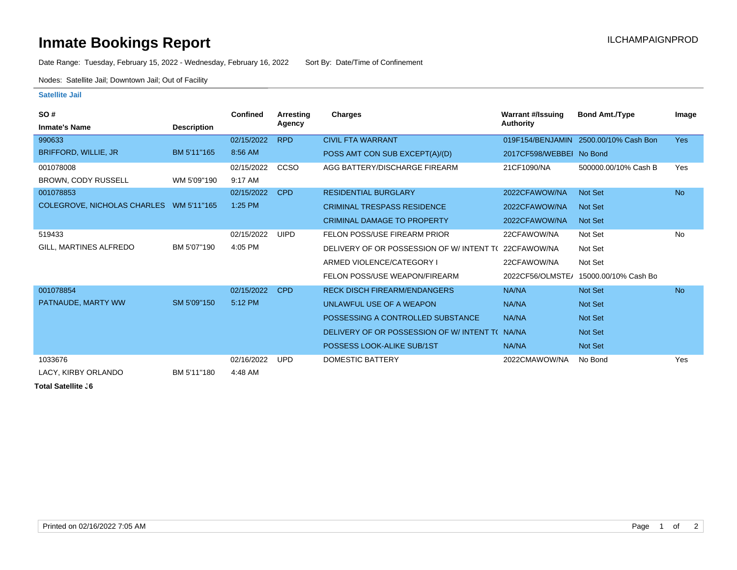## **Inmate Bookings Report Installation ILCHAMPAIGNPROD**

Date Range: Tuesday, February 15, 2022 - Wednesday, February 16, 2022 Sort By: Date/Time of Confinement

Nodes: Satellite Jail; Downtown Jail; Out of Facility

## **Satellite Jail**

| SO#                                     |                    | Confined   | Arresting   | <b>Charges</b>                           | <b>Warrant #/Issuing</b> | <b>Bond Amt./Type</b>                 | Image      |
|-----------------------------------------|--------------------|------------|-------------|------------------------------------------|--------------------------|---------------------------------------|------------|
| <b>Inmate's Name</b>                    | <b>Description</b> |            | Agency      |                                          | Authority                |                                       |            |
| 990633                                  |                    | 02/15/2022 | <b>RPD</b>  | <b>CIVIL FTA WARRANT</b>                 |                          | 019F154/BENJAMIN 2500.00/10% Cash Bon | <b>Yes</b> |
| BRIFFORD, WILLIE, JR                    | BM 5'11"165        | 8:56 AM    |             | POSS AMT CON SUB EXCEPT(A)/(D)           | 2017CF598/WEBBEI No Bond |                                       |            |
| 001078008                               |                    | 02/15/2022 | <b>CCSO</b> | AGG BATTERY/DISCHARGE FIREARM            | 21CF1090/NA              | 500000.00/10% Cash B                  | Yes        |
| <b>BROWN, CODY RUSSELL</b>              | WM 5'09"190        | 9:17 AM    |             |                                          |                          |                                       |            |
| 001078853                               |                    | 02/15/2022 | <b>CPD</b>  | <b>RESIDENTIAL BURGLARY</b>              | 2022CFAWOW/NA            | <b>Not Set</b>                        | <b>No</b>  |
| COLEGROVE, NICHOLAS CHARLES WM 5'11"165 |                    | 1:25 PM    |             | <b>CRIMINAL TRESPASS RESIDENCE</b>       | 2022CFAWOW/NA            | <b>Not Set</b>                        |            |
|                                         |                    |            |             | <b>CRIMINAL DAMAGE TO PROPERTY</b>       | 2022CFAWOW/NA            | <b>Not Set</b>                        |            |
| 519433                                  |                    | 02/15/2022 | <b>UIPD</b> | FELON POSS/USE FIREARM PRIOR             | 22CFAWOW/NA              | Not Set                               | <b>No</b>  |
| GILL, MARTINES ALFREDO                  | BM 5'07"190        | 4:05 PM    |             | DELIVERY OF OR POSSESSION OF W/INTENT TO | 22CFAWOW/NA              | Not Set                               |            |
|                                         |                    |            |             | ARMED VIOLENCE/CATEGORY I                | 22CFAWOW/NA              | Not Set                               |            |
|                                         |                    |            |             | FELON POSS/USE WEAPON/FIREARM            | 2022CF56/OLMSTE/         | 15000.00/10% Cash Bo                  |            |
| 001078854                               |                    | 02/15/2022 | <b>CPD</b>  | <b>RECK DISCH FIREARM/ENDANGERS</b>      | NA/NA                    | <b>Not Set</b>                        | <b>No</b>  |
| PATNAUDE, MARTY WW                      | SM 5'09"150        | 5:12 PM    |             | UNLAWFUL USE OF A WEAPON                 | NA/NA                    | Not Set                               |            |
|                                         |                    |            |             | POSSESSING A CONTROLLED SUBSTANCE        | NA/NA                    | <b>Not Set</b>                        |            |
|                                         |                    |            |             | DELIVERY OF OR POSSESSION OF W/INTENT TO | NA/NA                    | Not Set                               |            |
|                                         |                    |            |             | POSSESS LOOK-ALIKE SUB/1ST               | NA/NA                    | <b>Not Set</b>                        |            |
| 1033676                                 |                    | 02/16/2022 | <b>UPD</b>  | <b>DOMESTIC BATTERY</b>                  | 2022CMAWOW/NA            | No Bond                               | Yes        |
| LACY, KIRBY ORLANDO                     | BM 5'11"180        | 4:48 AM    |             |                                          |                          |                                       |            |

**Total Satellite . 6**